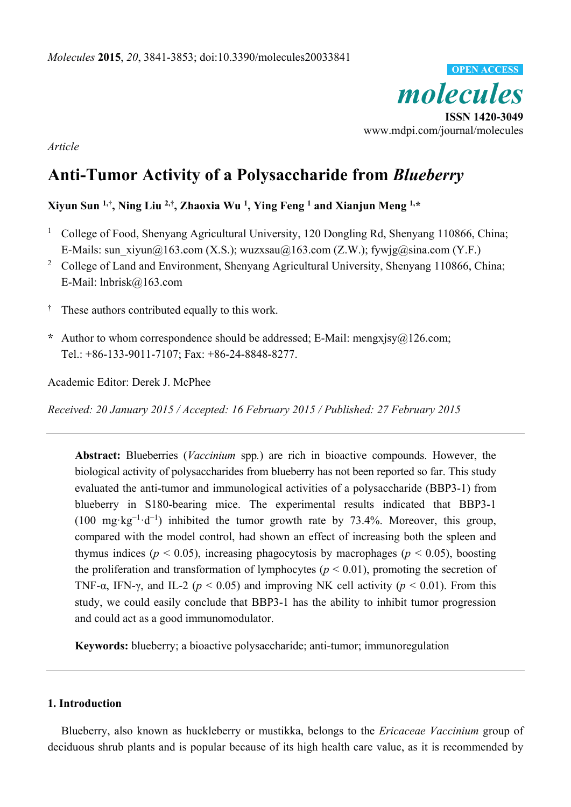

*Article* 

# **Anti-Tumor Activity of a Polysaccharide from** *Blueberry*

# **Xiyun Sun 1,†, Ning Liu 2,†, Zhaoxia Wu 1 , Ying Feng 1 and Xianjun Meng 1,\***

- <sup>1</sup> College of Food, Shenyang Agricultural University, 120 Dongling Rd, Shenyang 110866, China; E-Mails: sun\_xiyun@163.com (X.S.); wuzxsau@163.com (Z.W.); fywjg@sina.com (Y.F.)
- <sup>2</sup> College of Land and Environment, Shenyang Agricultural University, Shenyang 110866, China; E-Mail: lnbrisk@163.com
- **†** These authors contributed equally to this work.
- **\*** Author to whom correspondence should be addressed; E-Mail: mengxjsy@126.com; Tel.: +86-133-9011-7107; Fax: +86-24-8848-8277.

Academic Editor: Derek J. McPhee

*Received: 20 January 2015 / Accepted: 16 February 2015 / Published: 27 February 2015* 

**Abstract:** Blueberries (*Vaccinium* spp*.*) are rich in bioactive compounds. However, the biological activity of polysaccharides from blueberry has not been reported so far. This study evaluated the anti-tumor and immunological activities of a polysaccharide (BBP3-1) from blueberry in S180-bearing mice. The experimental results indicated that BBP3-1 (100 mg·kg<sup>-1</sup>·d<sup>-1</sup>) inhibited the tumor growth rate by 73.4%. Moreover, this group, compared with the model control, had shown an effect of increasing both the spleen and thymus indices ( $p < 0.05$ ), increasing phagocytosis by macrophages ( $p < 0.05$ ), boosting the proliferation and transformation of lymphocytes ( $p < 0.01$ ), promoting the secretion of TNF- $\alpha$ , IFN- $\gamma$ , and IL-2 ( $p < 0.05$ ) and improving NK cell activity ( $p < 0.01$ ). From this study, we could easily conclude that BBP3-1 has the ability to inhibit tumor progression and could act as a good immunomodulator.

**Keywords:** blueberry; a bioactive polysaccharide; anti-tumor; immunoregulation

# **1. Introduction**

Blueberry, also known as huckleberry or mustikka, belongs to the *Ericaceae Vaccinium* group of deciduous shrub plants and is popular because of its high health care value, as it is recommended by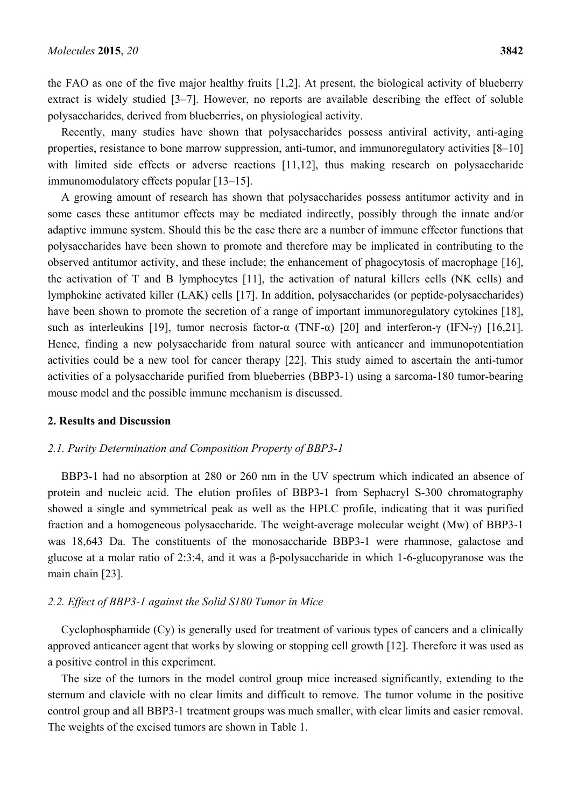the FAO as one of the five major healthy fruits [1,2]. At present, the biological activity of blueberry extract is widely studied [3–7]. However, no reports are available describing the effect of soluble polysaccharides, derived from blueberries, on physiological activity.

Recently, many studies have shown that polysaccharides possess antiviral activity, anti-aging properties, resistance to bone marrow suppression, anti-tumor, and immunoregulatory activities [8–10] with limited side effects or adverse reactions [11,12], thus making research on polysaccharide immunomodulatory effects popular [13–15].

A growing amount of research has shown that polysaccharides possess antitumor activity and in some cases these antitumor effects may be mediated indirectly, possibly through the innate and/or adaptive immune system. Should this be the case there are a number of immune effector functions that polysaccharides have been shown to promote and therefore may be implicated in contributing to the observed antitumor activity, and these include; the enhancement of phagocytosis of macrophage [16], the activation of T and B lymphocytes [11], the activation of natural killers cells (NK cells) and lymphokine activated killer (LAK) cells [17]. In addition, polysaccharides (or peptide-polysaccharides) have been shown to promote the secretion of a range of important immunoregulatory cytokines [18], such as interleukins [19], tumor necrosis factor- $\alpha$  (TNF- $\alpha$ ) [20] and interferon- $\gamma$  (IFN- $\gamma$ ) [16,21]. Hence, finding a new polysaccharide from natural source with anticancer and immunopotentiation activities could be a new tool for cancer therapy [22]. This study aimed to ascertain the anti-tumor activities of a polysaccharide purified from blueberries (BBP3-1) using a sarcoma-180 tumor-bearing mouse model and the possible immune mechanism is discussed.

#### **2. Results and Discussion**

#### *2.1. Purity Determination and Composition Property of BBP3-1*

BBP3-1 had no absorption at 280 or 260 nm in the UV spectrum which indicated an absence of protein and nucleic acid. The elution profiles of BBP3-1 from Sephacryl S-300 chromatography showed a single and symmetrical peak as well as the HPLC profile, indicating that it was purified fraction and a homogeneous polysaccharide. The weight-average molecular weight (Mw) of BBP3-1 was 18,643 Da. The constituents of the monosaccharide BBP3-1 were rhamnose, galactose and glucose at a molar ratio of 2:3:4, and it was a β-polysaccharide in which 1-6-glucopyranose was the main chain [23].

## *2.2. Effect of BBP3-1 against the Solid S180 Tumor in Mice*

Cyclophosphamide (Cy) is generally used for treatment of various types of cancers and a clinically approved anticancer agent that works by slowing or stopping cell growth [12]. Therefore it was used as a positive control in this experiment.

The size of the tumors in the model control group mice increased significantly, extending to the sternum and clavicle with no clear limits and difficult to remove. The tumor volume in the positive control group and all BBP3-1 treatment groups was much smaller, with clear limits and easier removal. The weights of the excised tumors are shown in Table 1.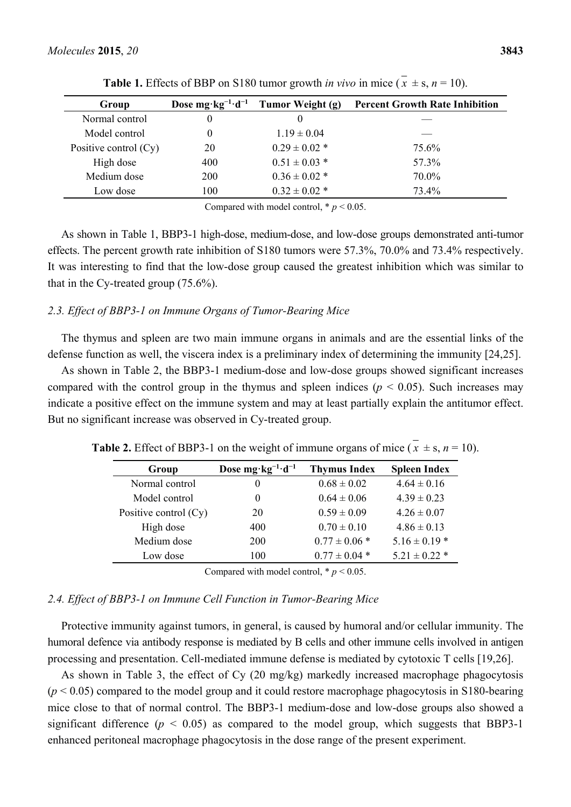| Group                 | Dose mg·kg <sup>-1</sup> ·d <sup>-1</sup> | Tumor Weight (g)  | <b>Percent Growth Rate Inhibition</b> |
|-----------------------|-------------------------------------------|-------------------|---------------------------------------|
| Normal control        | 0                                         |                   |                                       |
| Model control         | 0                                         | $1.19 \pm 0.04$   |                                       |
| Positive control (Cy) | 20                                        | $0.29 \pm 0.02$ * | 75.6%                                 |
| High dose             | 400                                       | $0.51 \pm 0.03$ * | 57 3%                                 |
| Medium dose           | 200                                       | $0.36 \pm 0.02$ * | 70.0%                                 |
| Low dose              | 100                                       | $0.32 \pm 0.02$ * | 73.4%                                 |

**Table 1.** Effects of BBP on S180 tumor growth *in vivo* in mice  $(\bar{x} \pm s, n = 10)$ .

Compared with model control,  $p < 0.05$ .

As shown in Table 1, BBP3-1 high-dose, medium-dose, and low-dose groups demonstrated anti-tumor effects. The percent growth rate inhibition of S180 tumors were 57.3%, 70.0% and 73.4% respectively. It was interesting to find that the low-dose group caused the greatest inhibition which was similar to that in the Cy-treated group (75.6%).

#### *2.3. Effect of BBP3-1 on Immune Organs of Tumor-Bearing Mice*

The thymus and spleen are two main immune organs in animals and are the essential links of the defense function as well, the viscera index is a preliminary index of determining the immunity [24,25].

As shown in Table 2, the BBP3-1 medium-dose and low-dose groups showed significant increases compared with the control group in the thymus and spleen indices ( $p < 0.05$ ). Such increases may indicate a positive effect on the immune system and may at least partially explain the antitumor effect. But no significant increase was observed in Cy-treated group.

| Group                   | Dose $mg \cdot kg^{-1} \cdot d^{-1}$ | <b>Thymus Index</b> | <b>Spleen Index</b> |
|-------------------------|--------------------------------------|---------------------|---------------------|
| Normal control          | $_{0}$                               | $0.68 \pm 0.02$     | $4.64 \pm 0.16$     |
| Model control           | $_{0}$                               | $0.64 \pm 0.06$     | $4.39 \pm 0.23$     |
| Positive control $(Cy)$ | 20                                   | $0.59 \pm 0.09$     | $4.26 \pm 0.07$     |
| High dose               | 400                                  | $0.70 \pm 0.10$     | $4.86 \pm 0.13$     |
| Medium dose             | <b>200</b>                           | $0.77 \pm 0.06$ *   | $5.16 \pm 0.19$ *   |
| Low dose                | 100                                  | $0.77 \pm 0.04$ *   | $5.21 \pm 0.22$ *   |

**Table 2.** Effect of BBP3-1 on the weight of immune organs of mice  $(\bar{x} \pm s, n = 10)$ .

Compared with model control,  $p < 0.05$ .

# *2.4. Effect of BBP3-1 on Immune Cell Function in Tumor-Bearing Mice*

Protective immunity against tumors, in general, is caused by humoral and/or cellular immunity. The humoral defence via antibody response is mediated by B cells and other immune cells involved in antigen processing and presentation. Cell-mediated immune defense is mediated by cytotoxic T cells [19,26].

As shown in Table 3, the effect of Cy (20 mg/kg) markedly increased macrophage phagocytosis  $(p < 0.05)$  compared to the model group and it could restore macrophage phagocytosis in S180-bearing mice close to that of normal control. The BBP3-1 medium-dose and low-dose groups also showed a significant difference ( $p < 0.05$ ) as compared to the model group, which suggests that BBP3-1 enhanced peritoneal macrophage phagocytosis in the dose range of the present experiment.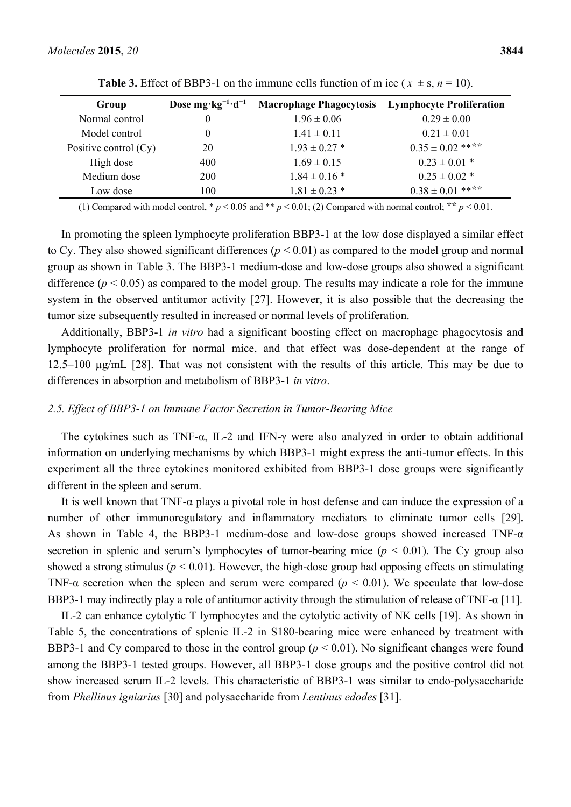| Group                   | Dose mg·kg <sup>-1</sup> ·d <sup>-1</sup> | <b>Macrophage Phagocytosis</b> | <b>Lymphocyte Proliferation</b> |
|-------------------------|-------------------------------------------|--------------------------------|---------------------------------|
| Normal control          | $\theta$                                  | $1.96 \pm 0.06$                | $0.29 \pm 0.00$                 |
| Model control           | $\theta$                                  | $1.41 \pm 0.11$                | $0.21 \pm 0.01$                 |
| Positive control $(Cy)$ | 20                                        | $1.93 \pm 0.27$ *              | $0.35 \pm 0.02$ ****            |
| High dose               | 400                                       | $1.69 \pm 0.15$                | $0.23 \pm 0.01$ *               |
| Medium dose             | <b>200</b>                                | $1.84 \pm 0.16$ *              | $0.25 \pm 0.02$ *               |
| Low dose                | 100                                       | $1.81 \pm 0.23$ *              | $0.38 \pm 0.01$ ****            |

**Table 3.** Effect of BBP3-1 on the immune cells function of m ice  $(\bar{x} \pm s, n = 10)$ .

(1) Compared with model control, \*  $p < 0.05$  and \*\*  $p < 0.01$ ; (2) Compared with normal control; \*\*  $p < 0.01$ .

In promoting the spleen lymphocyte proliferation BBP3-1 at the low dose displayed a similar effect to Cy. They also showed significant differences  $(p < 0.01)$  as compared to the model group and normal group as shown in Table 3. The BBP3-1 medium-dose and low-dose groups also showed a significant difference ( $p < 0.05$ ) as compared to the model group. The results may indicate a role for the immune system in the observed antitumor activity [27]. However, it is also possible that the decreasing the tumor size subsequently resulted in increased or normal levels of proliferation.

Additionally, BBP3-1 *in vitro* had a significant boosting effect on macrophage phagocytosis and lymphocyte proliferation for normal mice, and that effect was dose-dependent at the range of 12.5–100 µg/mL [28]. That was not consistent with the results of this article. This may be due to differences in absorption and metabolism of BBP3-1 *in vitro*.

# *2.5. Effect of BBP3-1 on Immune Factor Secretion in Tumor-Bearing Mice*

The cytokines such as TNF-α, IL-2 and IFN-γ were also analyzed in order to obtain additional information on underlying mechanisms by which BBP3-1 might express the anti-tumor effects. In this experiment all the three cytokines monitored exhibited from BBP3-1 dose groups were significantly different in the spleen and serum.

It is well known that TNF- $\alpha$  plays a pivotal role in host defense and can induce the expression of a number of other immunoregulatory and inflammatory mediators to eliminate tumor cells [29]. As shown in Table 4, the BBP3-1 medium-dose and low-dose groups showed increased TNF-α secretion in splenic and serum's lymphocytes of tumor-bearing mice  $(p < 0.01)$ . The Cy group also showed a strong stimulus ( $p < 0.01$ ). However, the high-dose group had opposing effects on stimulating TNF- $\alpha$  secretion when the spleen and serum were compared ( $p < 0.01$ ). We speculate that low-dose BBP3-1 may indirectly play a role of antitumor activity through the stimulation of release of TNF-α [11].

IL-2 can enhance cytolytic T lymphocytes and the cytolytic activity of NK cells [19]. As shown in Table 5, the concentrations of splenic IL-2 in S180-bearing mice were enhanced by treatment with BBP3-1 and Cy compared to those in the control group ( $p < 0.01$ ). No significant changes were found among the BBP3-1 tested groups. However, all BBP3-1 dose groups and the positive control did not show increased serum IL-2 levels. This characteristic of BBP3-1 was similar to endo-polysaccharide from *Phellinus igniarius* [30] and polysaccharide from *Lentinus edodes* [31].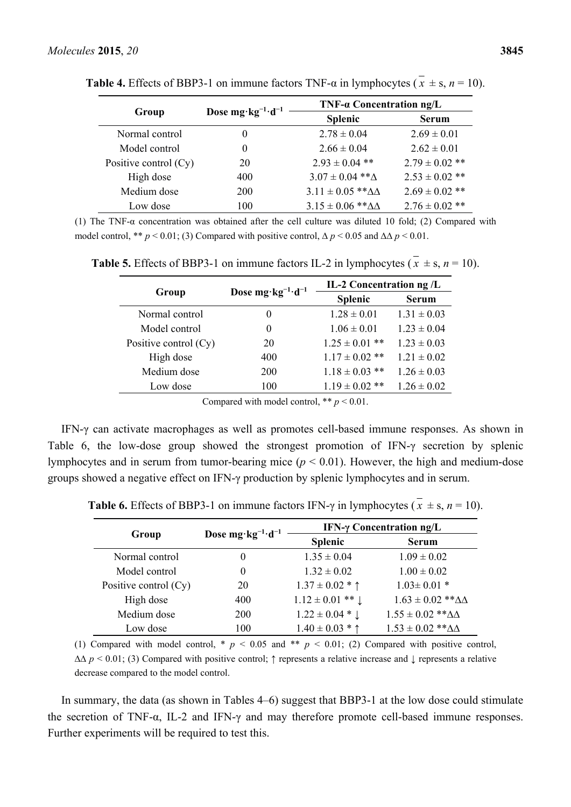|                         | Dose mg $\cdot$ kg <sup>-1</sup> $\cdot$ d <sup>-1</sup> | TNF- $\alpha$ Concentration ng/L  |                    |
|-------------------------|----------------------------------------------------------|-----------------------------------|--------------------|
| Group                   |                                                          | <b>Splenic</b>                    | <b>Serum</b>       |
| Normal control          | $_{0}$                                                   | $2.78 \pm 0.04$                   | $2.69 \pm 0.01$    |
| Model control           | $\theta$                                                 | $2.66 \pm 0.04$                   | $2.62 \pm 0.01$    |
| Positive control $(Cy)$ | 20                                                       | $2.93 \pm 0.04$ **                | $2.79 \pm 0.02$ ** |
| High dose               | 400                                                      | $3.07 \pm 0.04$ ** $\Delta$       | $2.53 \pm 0.02$ ** |
| Medium dose             | <b>200</b>                                               | $3.11 \pm 0.05$ ** $\Delta\Delta$ | $2.69 \pm 0.02$ ** |
| Low dose                | 100                                                      | $3.15 \pm 0.06$ ** $\Delta\Delta$ | $2.76 \pm 0.02$ ** |

**Table 4.** Effects of BBP3-1 on immune factors TNF- $\alpha$  in lymphocytes ( $\overline{x} \pm s$ ,  $n = 10$ ).

(1) The TNF-α concentration was obtained after the cell culture was diluted 10 fold; (2) Compared with model control, \*\*  $p < 0.01$ ; (3) Compared with positive control,  $\Delta p < 0.05$  and  $\Delta \Delta p < 0.01$ .

|                         |                                      | IL-2 Concentration ng /L |                 |
|-------------------------|--------------------------------------|--------------------------|-----------------|
| Group                   | Dose $mg \cdot kg^{-1} \cdot d^{-1}$ | <b>Splenic</b>           | <b>Serum</b>    |
| Normal control          | $\theta$                             | $1.28 \pm 0.01$          | $1.31 \pm 0.03$ |
| Model control           | $\theta$                             | $1.06 \pm 0.01$          | $1.23 \pm 0.04$ |
| Positive control $(Cy)$ | 20                                   | $1.25 \pm 0.01$ **       | $1.23 \pm 0.03$ |
| High dose               | 400                                  | $1.17 \pm 0.02$ **       | $1.21 \pm 0.02$ |
| Medium dose             | 200                                  | $1.18 \pm 0.03$ **       | $1.26 \pm 0.03$ |
| Low dose                | 100                                  | $1.19 \pm 0.02$ **       | $1.26 \pm 0.02$ |
|                         |                                      |                          |                 |

**Table 5.** Effects of BBP3-1 on immune factors IL-2 in lymphocytes ( $\overline{x} \pm s$ ,  $n = 10$ ).

Compared with model control,  $**$   $p < 0.01$ .

IFN-γ can activate macrophages as well as promotes cell-based immune responses. As shown in Table 6, the low-dose group showed the strongest promotion of IFN-γ secretion by splenic lymphocytes and in serum from tumor-bearing mice (*p* < 0.01). However, the high and medium-dose groups showed a negative effect on IFN-γ production by splenic lymphocytes and in serum.

|                         | Dose mg·kg <sup>-1</sup> ·d <sup>-1</sup> | IFN- $\gamma$ Concentration ng/L |                                   |  |
|-------------------------|-------------------------------------------|----------------------------------|-----------------------------------|--|
| Group                   |                                           | <b>Splenic</b>                   | <b>Serum</b>                      |  |
| Normal control          |                                           | $1.35 \pm 0.04$                  | $1.09 \pm 0.02$                   |  |
| Model control           |                                           | $1.32 \pm 0.02$                  | $1.00 \pm 0.02$                   |  |
| Positive control $(Cy)$ | 20                                        | $1.37 \pm 0.02 * \uparrow$       | $1.03 \pm 0.01$ *                 |  |
| High dose               | 400                                       | $1.12 \pm 0.01$ ** $\downarrow$  | $1.63 \pm 0.02$ ** $\Delta\Delta$ |  |
| Medium dose             | <b>200</b>                                | $1.22 \pm 0.04 * 1$              | $1.55 \pm 0.02$ ** $\Delta\Delta$ |  |
| Low dose                | 100                                       | $1.40 \pm 0.03 * \uparrow$       | $1.53 \pm 0.02$ ** $\Delta\Delta$ |  |

**Table 6.** Effects of BBP3-1 on immune factors IFN- $\gamma$  in lymphocytes ( $\overline{x} \pm s$ ,  $n = 10$ ).

(1) Compared with model control,  $* p < 0.05$  and  $* p < 0.01$ ; (2) Compared with positive control, ∆∆ *p* < 0.01; (3) Compared with positive control; ↑ represents a relative increase and ↓ represents a relative decrease compared to the model control.

In summary, the data (as shown in Tables 4–6) suggest that BBP3-1 at the low dose could stimulate the secretion of TNF-α, IL-2 and IFN-γ and may therefore promote cell-based immune responses. Further experiments will be required to test this.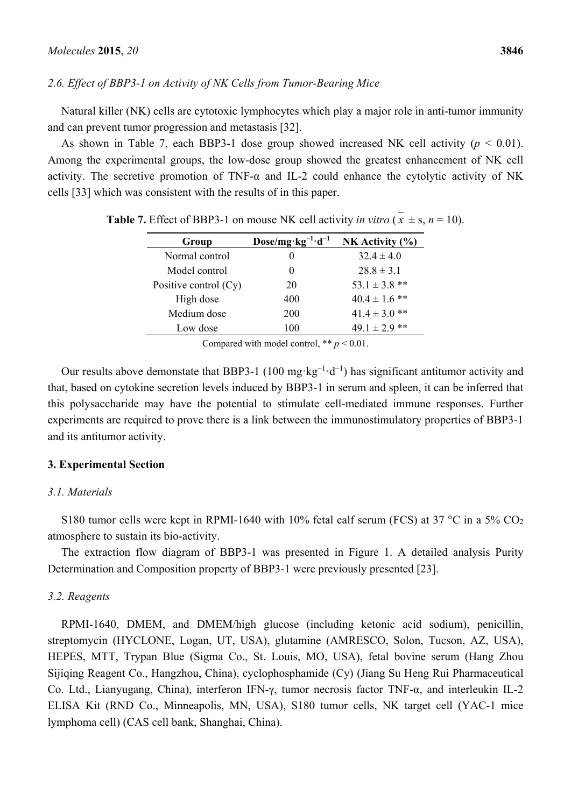# *2.6. Effect of BBP3-1 on Activity of NK Cells from Tumor-Bearing Mice*

Natural killer (NK) cells are cytotoxic lymphocytes which play a major role in anti-tumor immunity and can prevent tumor progression and metastasis [32].

As shown in Table 7, each BBP3-1 dose group showed increased NK cell activity ( $p \le 0.01$ ). Among the experimental groups, the low-dose group showed the greatest enhancement of NK cell activity. The secretive promotion of TNF- $\alpha$  and IL-2 could enhance the cytolytic activity of NK cells [33] which was consistent with the results of in this paper.

| Group                   | $Dose/mg \cdot kg^{-1} \cdot d^{-1}$ | NK Activity $(\% )$ |
|-------------------------|--------------------------------------|---------------------|
| Normal control          |                                      | $32.4 \pm 4.0$      |
| Model control           |                                      | $28.8 \pm 3.1$      |
| Positive control $(Cy)$ | 20                                   | $53.1 \pm 3.8$ **   |
| High dose               | 400                                  | $40.4 \pm 1.6$ **   |
| Medium dose             | 200                                  | $41.4 \pm 3.0$ **   |
| Low dose                | 100                                  | $49.1 \pm 2.9$ **   |

**Table 7.** Effect of BBP3-1 on mouse NK cell activity *in vitro*  $(x \pm s, n = 10)$ .

Compared with model control,  $** p < 0.01$ .

Our results above demonstate that BBP3-1 (100 mg·kg<sup>-1</sup>·d<sup>-1</sup>) has significant antitumor activity and that, based on cytokine secretion levels induced by BBP3-1 in serum and spleen, it can be inferred that this polysaccharide may have the potential to stimulate cell-mediated immune responses. Further experiments are required to prove there is a link between the immunostimulatory properties of BBP3-1 and its antitumor activity.

#### **3. Experimental Section**

#### *3.1. Materials*

S180 tumor cells were kept in RPMI-1640 with 10% fetal calf serum (FCS) at 37 °C in a 5%  $CO<sub>2</sub>$ atmosphere to sustain its bio-activity.

The extraction flow diagram of BBP3-1 was presented in Figure 1. A detailed analysis Purity Determination and Composition property of BBP3-1 were previously presented [23].

#### *3.2. Reagents*

RPMI-1640, DMEM, and DMEM/high glucose (including ketonic acid sodium), penicillin, streptomycin (HYCLONE, Logan, UT, USA), glutamine (AMRESCO, Solon, Tucson, AZ, USA), HEPES, MTT, Trypan Blue (Sigma Co., St. Louis, MO, USA), fetal bovine serum (Hang Zhou Sijiqing Reagent Co., Hangzhou, China), cyclophosphamide (Cy) (Jiang Su Heng Rui Pharmaceutical Co. Ltd., Lianyugang, China), interferon IFN-γ, tumor necrosis factor TNF-α, and interleukin IL-2 ELISA Kit (RND Co., Minneapolis, MN, USA), S180 tumor cells, NK target cell (YAC-1 mice lymphoma cell) (CAS cell bank, Shanghai, China).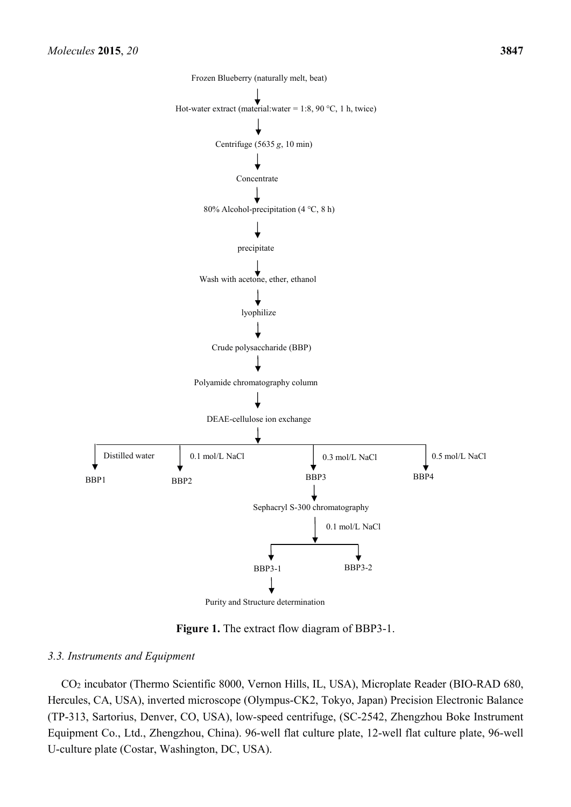

Purity and Structure determination

**Figure 1.** The extract flow diagram of BBP3-1.

# *3.3. Instruments and Equipment*

CO2 incubator (Thermo Scientific 8000, Vernon Hills, IL, USA), Microplate Reader (BIO-RAD 680, Hercules, CA, USA), inverted microscope (Olympus-CK2, Tokyo, Japan) Precision Electronic Balance (TP-313, Sartorius, Denver, CO, USA), low-speed centrifuge, (SC-2542, Zhengzhou Boke Instrument Equipment Co., Ltd., Zhengzhou, China). 96-well flat culture plate, 12-well flat culture plate, 96-well U-culture plate (Costar, Washington, DC, USA).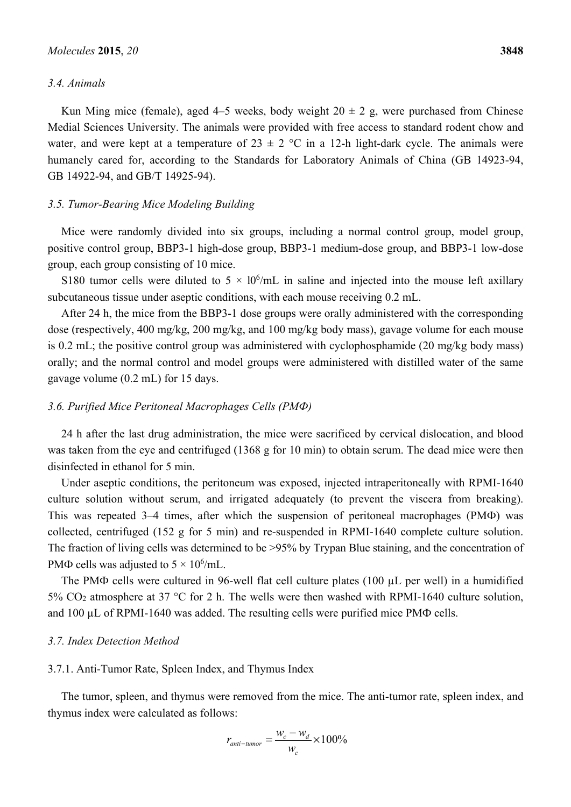# *3.4. Animals*

Kun Ming mice (female), aged 4–5 weeks, body weight  $20 \pm 2$  g, were purchased from Chinese Medial Sciences University. The animals were provided with free access to standard rodent chow and water, and were kept at a temperature of  $23 \pm 2$  °C in a 12-h light-dark cycle. The animals were humanely cared for, according to the Standards for Laboratory Animals of China (GB 14923-94, GB 14922-94, and GB/T 14925-94).

### *3.5. Tumor-Bearing Mice Modeling Building*

Mice were randomly divided into six groups, including a normal control group, model group, positive control group, BBP3-1 high-dose group, BBP3-1 medium-dose group, and BBP3-1 low-dose group, each group consisting of 10 mice.

S180 tumor cells were diluted to  $5 \times 10^6$ /mL in saline and injected into the mouse left axillary subcutaneous tissue under aseptic conditions, with each mouse receiving 0.2 mL.

After 24 h, the mice from the BBP3-1 dose groups were orally administered with the corresponding dose (respectively, 400 mg/kg, 200 mg/kg, and 100 mg/kg body mass), gavage volume for each mouse is 0.2 mL; the positive control group was administered with cyclophosphamide (20 mg/kg body mass) orally; and the normal control and model groups were administered with distilled water of the same gavage volume (0.2 mL) for 15 days.

#### *3.6. Purified Mice Peritoneal Macrophages Cells (PMФ)*

24 h after the last drug administration, the mice were sacrificed by cervical dislocation, and blood was taken from the eye and centrifuged (1368 g for 10 min) to obtain serum. The dead mice were then disinfected in ethanol for 5 min.

Under aseptic conditions, the peritoneum was exposed, injected intraperitoneally with RPMI-1640 culture solution without serum, and irrigated adequately (to prevent the viscera from breaking). This was repeated 3–4 times, after which the suspension of peritoneal macrophages (PMФ) was collected, centrifuged (152 g for 5 min) and re-suspended in RPMI-1640 complete culture solution. The fraction of living cells was determined to be >95% by Trypan Blue staining, and the concentration of PM $\Phi$  cells was adjusted to  $5 \times 10^6$ /mL.

The PMФ cells were cultured in 96-well flat cell culture plates (100 µL per well) in a humidified 5% CO2 atmosphere at 37 °C for 2 h. The wells were then washed with RPMI-1640 culture solution, and 100 µL of RPMI-1640 was added. The resulting cells were purified mice PMΦ cells.

#### *3.7. Index Detection Method*

# 3.7.1. Anti-Tumor Rate, Spleen Index, and Thymus Index

The tumor, spleen, and thymus were removed from the mice. The anti-tumor rate, spleen index, and thymus index were calculated as follows:

$$
r_{\text{anti-tumor}} = \frac{w_c - w_d}{w_c} \times 100\%
$$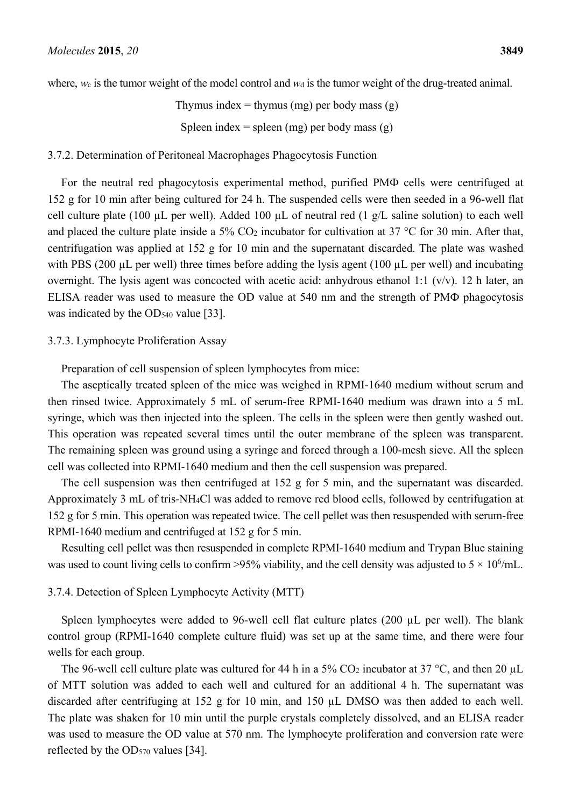where, *w*c is the tumor weight of the model control and *w*d is the tumor weight of the drug-treated animal.

Thymus index  $=$  thymus (mg) per body mass (g) Spleen index = spleen  $(mg)$  per body mass  $(g)$ 

## 3.7.2. Determination of Peritoneal Macrophages Phagocytosis Function

For the neutral red phagocytosis experimental method, purified PMФ cells were centrifuged at 152 g for 10 min after being cultured for 24 h. The suspended cells were then seeded in a 96-well flat cell culture plate (100 µL per well). Added 100 µL of neutral red (1 g/L saline solution) to each well and placed the culture plate inside a 5%  $CO<sub>2</sub>$  incubator for cultivation at 37 °C for 30 min. After that, centrifugation was applied at 152 g for 10 min and the supernatant discarded. The plate was washed with PBS (200 µL per well) three times before adding the lysis agent (100 µL per well) and incubating overnight. The lysis agent was concocted with acetic acid: anhydrous ethanol 1:1  $(v/v)$ . 12 h later, an ELISA reader was used to measure the OD value at 540 nm and the strength of PMФ phagocytosis was indicated by the OD<sub>540</sub> value [33].

# 3.7.3. Lymphocyte Proliferation Assay

Preparation of cell suspension of spleen lymphocytes from mice:

The aseptically treated spleen of the mice was weighed in RPMI-1640 medium without serum and then rinsed twice. Approximately 5 mL of serum-free RPMI-1640 medium was drawn into a 5 mL syringe, which was then injected into the spleen. The cells in the spleen were then gently washed out. This operation was repeated several times until the outer membrane of the spleen was transparent. The remaining spleen was ground using a syringe and forced through a 100-mesh sieve. All the spleen cell was collected into RPMI-1640 medium and then the cell suspension was prepared.

The cell suspension was then centrifuged at 152 g for 5 min, and the supernatant was discarded. Approximately 3 mL of tris-NH4Cl was added to remove red blood cells, followed by centrifugation at 152 g for 5 min. This operation was repeated twice. The cell pellet was then resuspended with serum-free RPMI-1640 medium and centrifuged at 152 g for 5 min.

Resulting cell pellet was then resuspended in complete RPMI-1640 medium and Trypan Blue staining was used to count living cells to confirm >95% viability, and the cell density was adjusted to  $5 \times 10^6$ /mL.

# 3.7.4. Detection of Spleen Lymphocyte Activity (MTT)

Spleen lymphocytes were added to 96-well cell flat culture plates (200  $\mu$ L per well). The blank control group (RPMI-1640 complete culture fluid) was set up at the same time, and there were four wells for each group.

The 96-well cell culture plate was cultured for 44 h in a 5%  $CO<sub>2</sub>$  incubator at 37 °C, and then 20  $\mu$ L of MTT solution was added to each well and cultured for an additional 4 h. The supernatant was discarded after centrifuging at 152 g for 10 min, and 150 µL DMSO was then added to each well. The plate was shaken for 10 min until the purple crystals completely dissolved, and an ELISA reader was used to measure the OD value at 570 nm. The lymphocyte proliferation and conversion rate were reflected by the OD570 values [34].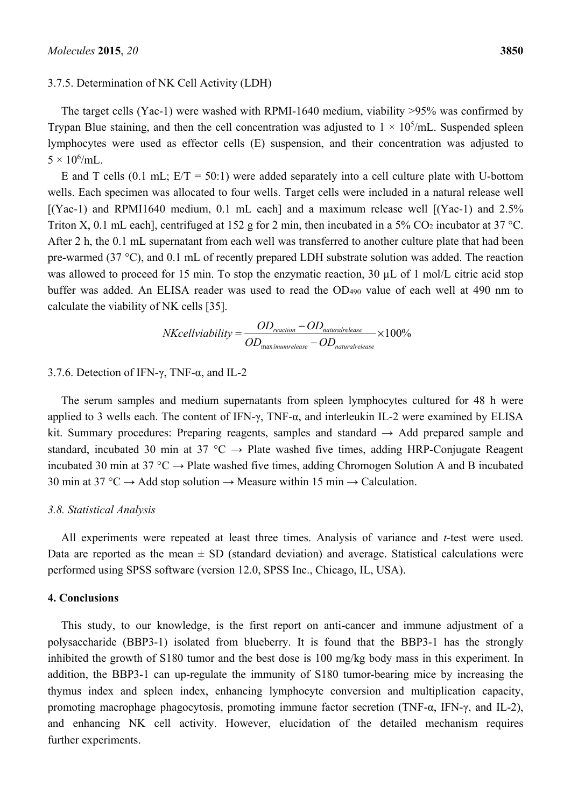#### 3.7.5. Determination of NK Cell Activity (LDH)

The target cells (Yac-1) were washed with RPMI-1640 medium, viability >95% was confirmed by Trypan Blue staining, and then the cell concentration was adjusted to  $1 \times 10^5$ /mL. Suspended spleen lymphocytes were used as effector cells (E) suspension, and their concentration was adjusted to  $5 \times 10^6$ /mL.

E and T cells  $(0.1 \text{ mL})$ ;  $E/T = 50:1$ ) were added separately into a cell culture plate with U-bottom wells. Each specimen was allocated to four wells. Target cells were included in a natural release well  $[(Yac-1)$  and RPMI1640 medium, 0.1 mL each] and a maximum release well  $[(Yac-1)$  and 2.5% Triton X, 0.1 mL each], centrifuged at 152 g for 2 min, then incubated in a 5% CO<sub>2</sub> incubator at 37 °C. After 2 h, the 0.1 mL supernatant from each well was transferred to another culture plate that had been pre-warmed (37 °C), and 0.1 mL of recently prepared LDH substrate solution was added. The reaction was allowed to proceed for 15 min. To stop the enzymatic reaction, 30  $\mu$ L of 1 mol/L citric acid stop buffer was added. An ELISA reader was used to read the OD490 value of each well at 490 nm to calculate the viability of NK cells [35].

$$
NKcell viability = \frac{OD_{reaction} - OD_{natural release}}{OD_{max\text{ }imm release} - OD_{natural release}} \times 100\%
$$

# 3.7.6. Detection of IFN-γ, TNF-α, and IL-2

The serum samples and medium supernatants from spleen lymphocytes cultured for 48 h were applied to 3 wells each. The content of IFN- $\gamma$ , TNF- $\alpha$ , and interleukin IL-2 were examined by ELISA kit. Summary procedures: Preparing reagents, samples and standard  $\rightarrow$  Add prepared sample and standard, incubated 30 min at 37 °C  $\rightarrow$  Plate washed five times, adding HRP-Conjugate Reagent incubated 30 min at 37 °C  $\rightarrow$  Plate washed five times, adding Chromogen Solution A and B incubated 30 min at 37 °C  $\rightarrow$  Add stop solution  $\rightarrow$  Measure within 15 min  $\rightarrow$  Calculation.

#### *3.8. Statistical Analysis*

All experiments were repeated at least three times. Analysis of variance and *t*-test were used. Data are reported as the mean  $\pm$  SD (standard deviation) and average. Statistical calculations were performed using SPSS software (version 12.0, SPSS Inc., Chicago, IL, USA).

#### **4. Conclusions**

This study, to our knowledge, is the first report on anti-cancer and immune adjustment of a polysaccharide (BBP3-1) isolated from blueberry. It is found that the BBP3-1 has the strongly inhibited the growth of S180 tumor and the best dose is 100 mg/kg body mass in this experiment. In addition, the BBP3-1 can up-regulate the immunity of S180 tumor-bearing mice by increasing the thymus index and spleen index, enhancing lymphocyte conversion and multiplication capacity, promoting macrophage phagocytosis, promoting immune factor secretion (TNF-α, IFN-γ, and IL-2), and enhancing NK cell activity. However, elucidation of the detailed mechanism requires further experiments.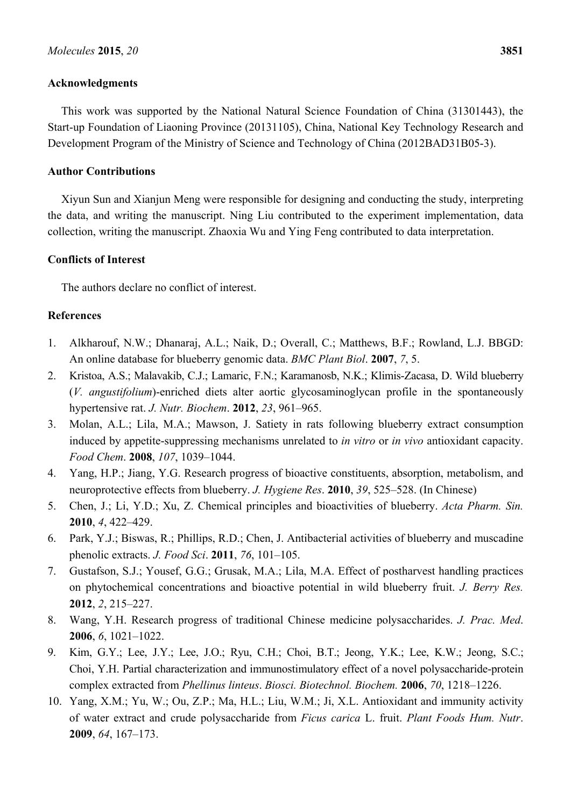# **Acknowledgments**

This work was supported by the National Natural Science Foundation of China (31301443), the Start-up Foundation of Liaoning Province (20131105), China, National Key Technology Research and Development Program of the Ministry of Science and Technology of China (2012BAD31B05-3).

# **Author Contributions**

Xiyun Sun and Xianjun Meng were responsible for designing and conducting the study, interpreting the data, and writing the manuscript. Ning Liu contributed to the experiment implementation, data collection, writing the manuscript. Zhaoxia Wu and Ying Feng contributed to data interpretation.

# **Conflicts of Interest**

The authors declare no conflict of interest.

# **References**

- 1. Alkharouf, N.W.; Dhanaraj, A.L.; Naik, D.; Overall, C.; Matthews, B.F.; Rowland, L.J. BBGD: An online database for blueberry genomic data. *BMC Plant Biol*. **2007**, *7*, 5.
- 2. Kristoa, A.S.; Malavakib, C.J.; Lamaric, F.N.; Karamanosb, N.K.; Klimis-Zacasa, D. Wild blueberry (*V. angustifolium*)-enriched diets alter aortic glycosaminoglycan profile in the spontaneously hypertensive rat. *J. Nutr. Biochem*. **2012**, *23*, 961–965.
- 3. Molan, A.L.; Lila, M.A.; Mawson, J. Satiety in rats following blueberry extract consumption induced by appetite-suppressing mechanisms unrelated to *in vitro* or *in vivo* antioxidant capacity. *Food Chem*. **2008**, *107*, 1039–1044.
- 4. Yang, H.P.; Jiang, Y.G. Research progress of bioactive constituents, absorption, metabolism, and neuroprotective effects from blueberry. *J. Hygiene Res*. **2010**, *39*, 525–528. (In Chinese)
- 5. Chen, J.; Li, Y.D.; Xu, Z. Chemical principles and bioactivities of blueberry. *Acta Pharm. Sin.* **2010**, *4*, 422–429.
- 6. Park, Y.J.; Biswas, R.; Phillips, R.D.; Chen, J. Antibacterial activities of blueberry and muscadine phenolic extracts. *J. Food Sci*. **2011**, *76*, 101–105.
- 7. Gustafson, S.J.; Yousef, G.G.; Grusak, M.A.; Lila, M.A. Effect of postharvest handling practices on phytochemical concentrations and bioactive potential in wild blueberry fruit. *J. Berry Res.*  **2012**, *2*, 215–227.
- 8. Wang, Y.H. Research progress of traditional Chinese medicine polysaccharides. *J. Prac. Med*. **2006**, *6*, 1021–1022.
- 9. Kim, G.Y.; Lee, J.Y.; Lee, J.O.; Ryu, C.H.; Choi, B.T.; Jeong, Y.K.; Lee, K.W.; Jeong, S.C.; Choi, Y.H. Partial characterization and immunostimulatory effect of a novel polysaccharide-protein complex extracted from *Phellinus linteus*. *Biosci. Biotechnol. Biochem.* **2006**, *70*, 1218–1226.
- 10. Yang, X.M.; Yu, W.; Ou, Z.P.; Ma, H.L.; Liu, W.M.; Ji, X.L. Antioxidant and immunity activity of water extract and crude polysaccharide from *Ficus carica* L. fruit. *Plant Foods Hum. Nutr*. **2009**, *64*, 167–173.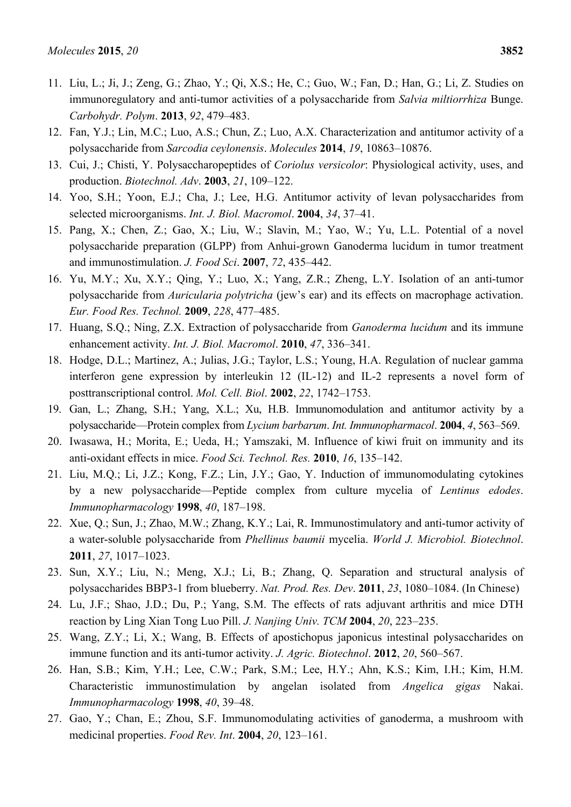- 11. Liu, L.; Ji, J.; Zeng, G.; Zhao, Y.; Qi, X.S.; He, C.; Guo, W.; Fan, D.; Han, G.; Li, Z. Studies on immunoregulatory and anti-tumor activities of a polysaccharide from *Salvia miltiorrhiza* Bunge. *Carbohydr. Polym*. **2013**, *92*, 479–483.
- 12. Fan, Y.J.; Lin, M.C.; Luo, A.S.; Chun, Z.; Luo, A.X. Characterization and antitumor activity of a polysaccharide from *Sarcodia ceylonensis*. *Molecules* **2014**, *19*, 10863–10876.
- 13. Cui, J.; Chisti, Y. Polysaccharopeptides of *Coriolus versicolor*: Physiological activity, uses, and production. *Biotechnol. Adv*. **2003**, *21*, 109–122.
- 14. Yoo, S.H.; Yoon, E.J.; Cha, J.; Lee, H.G. Antitumor activity of levan polysaccharides from selected microorganisms. *Int. J. Biol. Macromol*. **2004**, *34*, 37–41.
- 15. Pang, X.; Chen, Z.; Gao, X.; Liu, W.; Slavin, M.; Yao, W.; Yu, L.L. Potential of a novel polysaccharide preparation (GLPP) from Anhui-grown Ganoderma lucidum in tumor treatment and immunostimulation. *J. Food Sci*. **2007**, *72*, 435–442.
- 16. Yu, M.Y.; Xu, X.Y.; Qing, Y.; Luo, X.; Yang, Z.R.; Zheng, L.Y. Isolation of an anti-tumor polysaccharide from *Auricularia polytricha* (jew's ear) and its effects on macrophage activation. *Eur. Food Res. Technol.* **2009**, *228*, 477–485.
- 17. Huang, S.Q.; Ning, Z.X. Extraction of polysaccharide from *Ganoderma lucidum* and its immune enhancement activity. *Int. J. Biol. Macromol*. **2010**, *47*, 336–341.
- 18. Hodge, D.L.; Martinez, A.; Julias, J.G.; Taylor, L.S.; Young, H.A. Regulation of nuclear gamma interferon gene expression by interleukin 12 (IL-12) and IL-2 represents a novel form of posttranscriptional control. *Mol. Cell. Biol*. **2002**, *22*, 1742–1753.
- 19. Gan, L.; Zhang, S.H.; Yang, X.L.; Xu, H.B. Immunomodulation and antitumor activity by a polysaccharide—Protein complex from *Lycium barbarum*. *Int. Immunopharmacol*. **2004**, *4*, 563–569.
- 20. Iwasawa, H.; Morita, E.; Ueda, H.; Yamszaki, M. Influence of kiwi fruit on immunity and its anti-oxidant effects in mice. *Food Sci. Technol. Res.* **2010**, *16*, 135–142.
- 21. Liu, M.Q.; Li, J.Z.; Kong, F.Z.; Lin, J.Y.; Gao, Y. Induction of immunomodulating cytokines by a new polysaccharide—Peptide complex from culture mycelia of *Lentinus edodes*. *Immunopharmacology* **1998**, *40*, 187–198.
- 22. Xue, Q.; Sun, J.; Zhao, M.W.; Zhang, K.Y.; Lai, R. Immunostimulatory and anti-tumor activity of a water-soluble polysaccharide from *Phellinus baumii* mycelia. *World J. Microbiol. Biotechnol*. **2011**, *27*, 1017–1023.
- 23. Sun, X.Y.; Liu, N.; Meng, X.J.; Li, B.; Zhang, Q. Separation and structural analysis of polysaccharides BBP3-1 from blueberry. *Nat. Prod. Res. Dev*. **2011**, *23*, 1080–1084. (In Chinese)
- 24. Lu, J.F.; Shao, J.D.; Du, P.; Yang, S.M. The effects of rats adjuvant arthritis and mice DTH reaction by Ling Xian Tong Luo Pill. *J. Nanjing Univ. TCM* **2004**, *20*, 223–235.
- 25. Wang, Z.Y.; Li, X.; Wang, B. Effects of apostichopus japonicus intestinal polysaccharides on immune function and its anti-tumor activity. *J. Agric. Biotechnol*. **2012**, *20*, 560–567.
- 26. Han, S.B.; Kim, Y.H.; Lee, C.W.; Park, S.M.; Lee, H.Y.; Ahn, K.S.; Kim, I.H.; Kim, H.M. Characteristic immunostimulation by angelan isolated from *Angelica gigas* Nakai. *Immunopharmacology* **1998**, *40*, 39–48.
- 27. Gao, Y.; Chan, E.; Zhou, S.F. Immunomodulating activities of ganoderma, a mushroom with medicinal properties. *Food Rev. Int*. **2004**, *20*, 123–161.